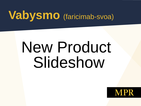## **Vabysmo** (faricimab-svoa)

# New Product Slideshow

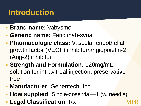#### **Introduction**

- **Brand name:** Vabysmo
- **Generic name:** Faricimab-svoa
- **Pharmacologic class:** Vascular endothelial growth factor (VEGF) inhibitor/angiopoietin-2 (Ang-2) inhibitor
- **Strength and Formulation:** 120mg/mL; solution for intravitreal injection; preservativefree
- **Manufacturer: Genentech, Inc.**
- **How supplied:** Single-dose vial—1 (w. needle)
- **Legal Classification:** Rx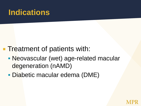#### **Indications**

- **Treatment of patients with:** 
	- **Neovascular (wet) age-related macular** degeneration (nAMD)
	- Diabetic macular edema (DME)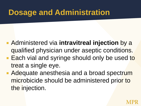#### **Dosage and Administration**

- Administered via **intravitreal injection** by a qualified physician under aseptic conditions.
- **Each vial and syringe should only be used to** treat a single eye.
- Adequate anesthesia and a broad spectrum microbicide should be administered prior to the injection.

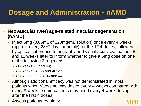#### **Dosage and Administration - nAMD**

#### **Neovascular (wet) age-related macular degeneration (nAMD)**

- Inject 6mg (0.05mL of 120mg/mL solution) once every 4 weeks (approx. every  $28\pm7$  days, monthly) for the 1<sup>st</sup> 4 doses, followed by optical coherence tomography and visual acuity evaluations 8 and 12 weeks later to inform whether to give a 6mg dose on one of the following 3 regimens:
	- (1) weeks 28 and 44;
	- (2) weeks 24, 36 and 48; or
	- (3) weeks 20, 28, 36 and 44.
- Although additional efficacy was not demonstrated in most patients when Vabysmo was dosed every 4 weeks compared with every 8 weeks, some patients may need every 4 week dosing after the first 4 doses.
- Assess patients regularly.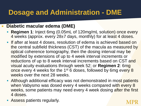#### **Dosage and Administration - DME**

#### **Diabetic macular edema (DME)**

- **Regimen 1**: Inject 6mg (0.05mL of 120mg/mL solution) once every 4 weeks (approx. every 28±7 days, monthly) for at least 4 doses.
- **If after at least 4 doses, resolution of edema is achieved based on** the central subfield thickness (CST) of the macula as measured by optical coherence tomography, then the dosing interval may be modified by extensions of up to 4 week interval increments or reductions of up to 8 week interval increments based on CST and visual acuity evaluations through week 52; or **Regimen 2**: 6mg once every 4 weeks for the 1<sup>st</sup> 6 doses, followed by 6mg every 8 weeks over the next 28 weeks.
- **-** Although additional efficacy was not demonstrated in most patients when Vabysmo was dosed every 4 weeks compared with every 8 weeks, some patients may need every 4 week dosing after the first 4 doses.
- Assess patients regularly.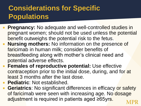#### **Considerations for Specific Populations**

- **Pregnancy:** No adequate and well-controlled studies in pregnant women; should not be used unless the potential benefit outweighs the potential risk to the fetus.
- **Nursing mothers:** No information on the presence of faricimab in human milk; consider benefits of breastfeeding along with mother's clinical need and potential adverse effects.
- **Females of reproductive potential:** Use effective contraception prior to the initial dose, during, and for at least 3 months after the last dose.
- **Pediatric**: Not established.
- **Geriatrics**: No significant differences in efficacy or safety of faricimab were seen with increasing age. No dosage adjustment is required in patients aged ≥65yrs.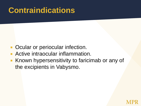#### **Contraindications**

- Ocular or periocular infection.
- **Active intraocular inflammation.**
- **K** Known hypersensitivity to faricimab or any of the excipients in Vabysmo.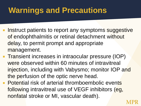#### **Warnings and Precautions**

- **Instruct patients to report any symptoms suggestive** of endophthalmitis or retinal detachment without delay, to permit prompt and appropriate management.
- Transient increases in intraocular pressure (IOP) were observed within 60 minutes of intravitreal injection, including with Vabysmo; monitor IOP and the perfusion of the optic nerve head.
- **Potential risk of arterial thromboembolic events** following intravitreal use of VEGF inhibitors (eg, nonfatal stroke or MI, vascular death).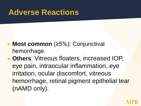#### **Adverse Reactions**

- **Most common** (≥5%): Conjunctival hemorrhage.
- **Others**: Vitreous floaters, increased IOP, eye pain, intraocular inflammation, eye irritation, ocular discomfort, vitreous hemorrhage, retinal pigment epithelial tear (nAMD only).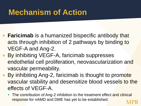#### **Mechanism of Action**

- **Faricimab** is a humanized bispecific antibody that acts through inhibition of 2 pathways by binding to VEGF-A and Ang-2.
- **By inhibiting VEGF-A, faricimab suppresses** endothelial cell proliferation, neovascularization and vascular permeability.
	- By inhibiting Ang-2, faricimab is thought to promote vascular stability and desensitize blood vessels to the effects of VEGF-A.
		- The contribution of Ang-2 inhibition to the treatment effect and clinical response for nAMD and DME has yet to be established.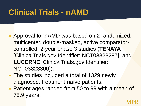- **Approval for nAMD was based on 2 randomized,** multicenter, double-masked, active comparatorcontrolled, 2-year phase 3 studies (**TENAYA** [ClinicalTrials.gov Identifier: NCT03823287], and **LUCERNE** [ClinicalTrials.gov Identifier: NCT03823300]).
- **The studies included a total of 1329 newly** diagnosed, treatment-naïve patients.
- **Patient ages ranged from 50 to 99 with a mean of** 75.9 years.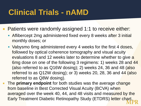- Patients were randomly assigned 1:1 to receive either:
	- Aflibercept 2mg administered fixed every 8 weeks after 3 initial monthly doses; or
	- Vabysmo 6mg administered every 4 weeks for the first 4 doses, followed by optical coherence tomography and visual acuity evaluations 8 and 12 weeks later to determine whether to give a 6mg dose on one of the following 3 regimens: 1) weeks 28 and 44 (also referred to as Q16W dosing); 2) weeks 24, 36 and 48 (also referred to as Q12W dosing); or 3) weeks 20, 28, 36 and 44 (also referred to as Q8W dosing).
- The **primary endpoint** for both studies was the average change from baseline in Best Corrected Visual Acuity (BCVA) when averaged over the week 40, 44, and 48 visits and measured by the Early Treatment Diabetic Retinopathy Study (ETDRS) letter chart.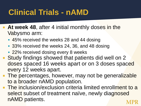- **At week 48**, after 4 initial monthly doses in the Vabysmo arm:
	- 45% received the weeks 28 and 44 dosing
	- 33% received the weeks 24, 36, and 48 dosing
	- **22% received dosing every 8 weeks**
- Study findings showed that patients did well on 2 doses spaced 16 weeks apart or on 3 doses spaced every 12 weeks apart.
- **The percentages, however, may not be generalizable** to a broader nAMD population.
- **The inclusion/exclusion criteria limited enrollment to a** select subset of treatment naïve, newly diagnosed nAMD patients.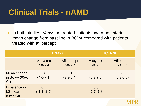**IF In both studies, Vabysmo treated patients had a noninferior** mean change from baseline in BCVA compared with patients treated with aflibercept.

|                                                | <b>TENAYA</b>        |                                 | <b>LUCERNE</b>       |                          |  |
|------------------------------------------------|----------------------|---------------------------------|----------------------|--------------------------|--|
|                                                | Vabysmo<br>$N = 334$ | <b>Aflibercept</b><br>$N = 337$ | Vabysmo<br>$N = 331$ | Aflibercept<br>$N = 327$ |  |
| Mean change<br>in BCVA (95%<br>Cl              | 5.8<br>$(4.6 - 7.1)$ | 5.1<br>$(3.9 - 6.4)$            | 6.6<br>$(5.3 - 7.8)$ | 6.6<br>$(5.3 - 7.8)$     |  |
| Difference in<br>LS mean<br>$(95% \text{ Cl})$ | 0.7<br>$(-1.1, 2.5)$ |                                 | 0.0<br>$(-1.7, 1.8)$ |                          |  |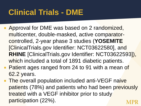- Approval for DME was based on 2 randomized, multicenter, double-masked, active comparatorcontrolled, 2-year phase 3 studies (**YOSEMITE** [ClinicalTrials.gov Identifier: NCT03622580], and **RHINE** [ClinicalTrials.gov Identifier: NCT03622593]), which included a total of 1891 diabetic patients.
- **Patient ages ranged from 24 to 91 with a mean of** 62.2 years.
- **The overall population included anti-VEGF naive** patients (78%) and patients who had been previously treated with a VEGF inhibitor prior to study participation (22%).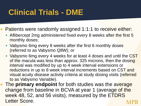- **Patients were randomly assigned 1:1:1 to receive either:** 
	- **Aflibercept 2mg administered fixed every 8 weeks after the first 5** monthly doses;
	- Vabysmo 6mg every 8 weeks after the first 6 monthly doses (referred to as Vabysmo Q8W); or
	- Vabysmo 6mg every 4 weeks for at least 4 doses and until the CST of the macula was less than approx. 325 microns, then the dosing interval was modified by up to 4 week interval extensions or reductions in up to 8 week interval increments based on CST and visual acuity disease activity criteria at study dosing visits (referred to as Vabysmo Variable).
- **The primary endpoint** for both studies was the average change from baseline in BCVA at year 1 (average of the week 48, 52, and 56 visits), measured by the ETDRS Letter Score.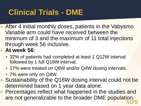- **After 4 initial monthly doses, patients in the Vabysmo** Variable arm could have received between the minimum of 3 and the maximum of 11 total injections through week 56 inclusive.
- **At week 56**:
	- **32%** of patients had completed at least 1 Q12W interval followed by 1 full Q16W interval.
	- **17%** were treated on Q8W and/or Q4W dosing intervals.
	- 7% were only on Q4W.
- Sustainability of the Q16W dosing interval could not be determined based on 1 year data alone.
- **Percentages reflect what happened in the studies and** are not generalizable to the broader DME population.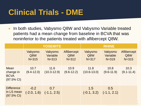**Ioub Etable Studies, Vabysmo Q8W and Vabysmo Variable treated** patients had a mean change from baseline in BCVA that was noninferior to the patients treated with aflibercept Q8W.

|                                                           | <b>YOSEMITE</b>             |                                    |                                 | <b>RHINE</b>                |                                  |                                 |
|-----------------------------------------------------------|-----------------------------|------------------------------------|---------------------------------|-----------------------------|----------------------------------|---------------------------------|
|                                                           | Vabysmo<br>Q8W<br>$N = 315$ | Vabysmo<br>Variable<br>$N = 313$   | Aflibercept<br>Q8W<br>$N = 312$ | Vabysmo<br>Q8W<br>$N = 317$ | Vabysmo<br>Variable<br>$N = 319$ | Aflibercept<br>Q8W<br>$N = 315$ |
| Mean<br>change in<br><b>BCVA</b><br>$(97.5\% \text{ Cl})$ | 10.7<br>$(9.4 - 12.0)$      | 11.6<br>$(10.3 - 12.9)$            | 10.9<br>$(9.6 - 12.2)$          | 11.8<br>$(10.6 - 13.0)$     | 10.8<br>$(9.6 - 11.9)$           | 10.3<br>$(9.1 - 11.4)$          |
| <b>Difference</b><br>in LS mean<br>$(97.5\% \text{ Cl})$  | $-0.2$                      | 0.7<br>$(-2.0, 1.6)$ $(-1.1, 2.5)$ |                                 | 1.5<br>$(-0.1, 3.2)$        | 0.5<br>$(-1.1, 2.1)$             |                                 |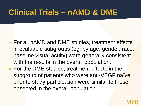#### **Clinical Trials – nAMD & DME**

- For all nAMD and DME studies, treatment effects in evaluable subgroups (eg, by age, gender, race, baseline visual acuity) were generally consistent with the results in the overall population.
- **For the DME studies, treatment effects in the** subgroup of patients who were anti-VEGF naïve prior to study participation were similar to those observed in the overall population.